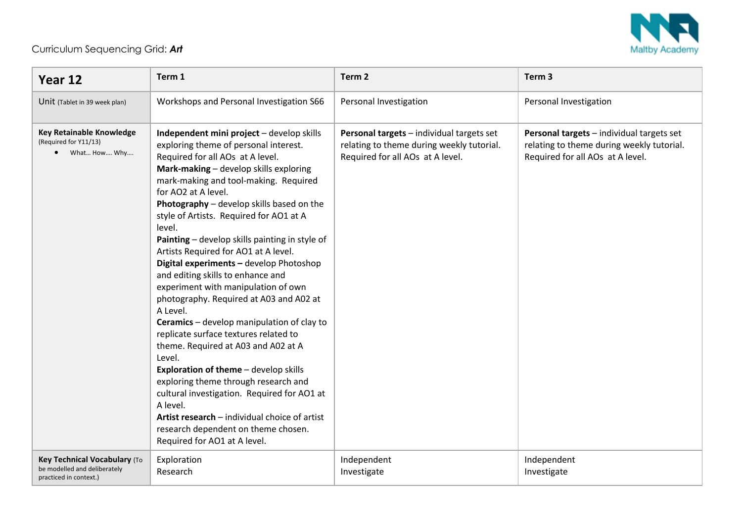

## Curriculum Sequencing Grid: *Art*

| Year 12                                                                                | Term 1                                                                                                                                                                                                                                                                                                                                                                                                                                                                                                                                                                                                                                                                                                                                                                                                                                                                                                                                                                                                                 | Term <sub>2</sub>                                                                                                          | Term <sub>3</sub>                                                                                                          |
|----------------------------------------------------------------------------------------|------------------------------------------------------------------------------------------------------------------------------------------------------------------------------------------------------------------------------------------------------------------------------------------------------------------------------------------------------------------------------------------------------------------------------------------------------------------------------------------------------------------------------------------------------------------------------------------------------------------------------------------------------------------------------------------------------------------------------------------------------------------------------------------------------------------------------------------------------------------------------------------------------------------------------------------------------------------------------------------------------------------------|----------------------------------------------------------------------------------------------------------------------------|----------------------------------------------------------------------------------------------------------------------------|
| Unit (Tablet in 39 week plan)                                                          | Workshops and Personal Investigation S66                                                                                                                                                                                                                                                                                                                                                                                                                                                                                                                                                                                                                                                                                                                                                                                                                                                                                                                                                                               | Personal Investigation                                                                                                     | Personal Investigation                                                                                                     |
| Key Retainable Knowledge<br>(Required for Y11/13)<br>• What How Why                    | Independent mini project - develop skills<br>exploring theme of personal interest.<br>Required for all AOs at A level.<br>Mark-making - develop skills exploring<br>mark-making and tool-making. Required<br>for AO2 at A level.<br>Photography - develop skills based on the<br>style of Artists. Required for AO1 at A<br>level.<br>Painting - develop skills painting in style of<br>Artists Required for AO1 at A level.<br>Digital experiments - develop Photoshop<br>and editing skills to enhance and<br>experiment with manipulation of own<br>photography. Required at A03 and A02 at<br>A Level.<br>Ceramics - develop manipulation of clay to<br>replicate surface textures related to<br>theme. Required at A03 and A02 at A<br>Level.<br>Exploration of theme - develop skills<br>exploring theme through research and<br>cultural investigation. Required for AO1 at<br>A level.<br>Artist research - individual choice of artist<br>research dependent on theme chosen.<br>Required for AO1 at A level. | Personal targets - individual targets set<br>relating to theme during weekly tutorial.<br>Required for all AOs at A level. | Personal targets - individual targets set<br>relating to theme during weekly tutorial.<br>Required for all AOs at A level. |
| Key Technical Vocabulary (To<br>be modelled and deliberately<br>practiced in context.) | Exploration<br>Research                                                                                                                                                                                                                                                                                                                                                                                                                                                                                                                                                                                                                                                                                                                                                                                                                                                                                                                                                                                                | Independent<br>Investigate                                                                                                 | Independent<br>Investigate                                                                                                 |